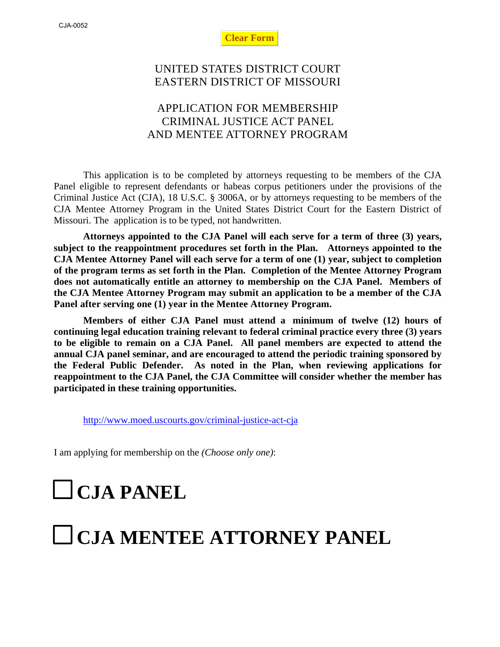**Clear Form**

## UNITED STATES DISTRICT COURT EASTERN DISTRICT OF MISSOURI

## APPLICATION FOR MEMBERSHIP CRIMINAL JUSTICE ACT PANEL AND MENTEE ATTORNEY PROGRAM

This application is to be completed by attorneys requesting to be members of the CJA Panel eligible to represent defendants or habeas corpus petitioners under the provisions of the Criminal Justice Act (CJA), 18 U.S.C. § 3006A, or by attorneys requesting to be members of the CJA Mentee Attorney Program in the United States District Court for the Eastern District of Missouri. The application is to be typed, not handwritten.

**Attorneys appointed to the CJA Panel will each serve for a term of three (3) years, subject to the reappointment procedures set forth in the Plan. Attorneys appointed to the CJA Mentee Attorney Panel will each serve for a term of one (1) year, subject to completion of the program terms as set forth in the Plan. Completion of the Mentee Attorney Program does not automatically entitle an attorney to membership on the CJA Panel. Members of the CJA Mentee Attorney Program may submit an application to be a member of the CJA Panel after serving one (1) year in the Mentee Attorney Program.**

**Members of either CJA Panel must attend a minimum of twelve (12) hours of continuing legal education training relevant to federal criminal practice every three (3) years to be eligible to remain on a CJA Panel. All panel members are expected to attend the annual CJA panel seminar, and are encouraged to attend the periodic training sponsored by the Federal Public Defender. As noted in the Plan, when reviewing applications for reappointment to the CJA Panel, the CJA Committee will consider whether the member has participated in these training opportunities.**

<http://www.moed.uscourts.gov/criminal-justice-act-cja>

I am applying for membership on the *(Choose only one)*:

# **CJA PANEL**

## **CJA MENTEE ATTORNEY PANEL**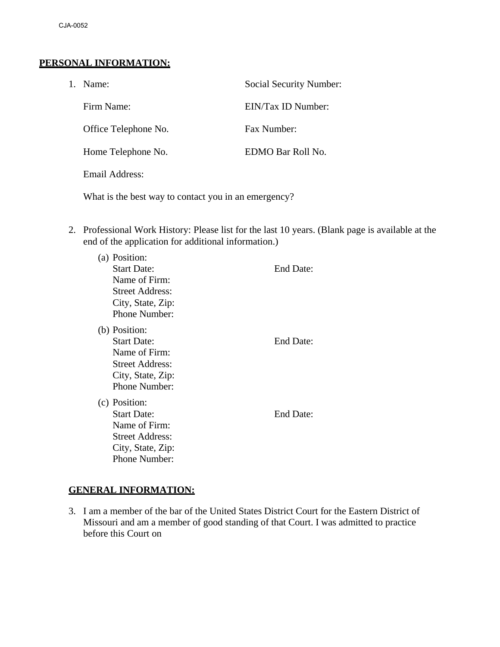#### **PERSONAL INFORMATION:**

| 1. | Name:                | Social Security Number: |
|----|----------------------|-------------------------|
|    | Firm Name:           | EIN/Tax ID Number:      |
|    | Office Telephone No. | Fax Number:             |
|    | Home Telephone No.   | EDMO Bar Roll No.       |
|    | Email Address:       |                         |
|    |                      |                         |

What is the best way to contact you in an emergency?

2. Professional Work History: Please list for the last 10 years. (Blank page is available at the end of the application for additional information.)

| (a) | Position:              |                  |
|-----|------------------------|------------------|
|     | <b>Start Date:</b>     | End Date:        |
|     | Name of Firm:          |                  |
|     | Street Address:        |                  |
|     | City, State, Zip:      |                  |
|     | <b>Phone Number:</b>   |                  |
|     | (b) Position:          |                  |
|     | <b>Start Date:</b>     | <b>End Date:</b> |
|     | Name of Firm:          |                  |
|     | <b>Street Address:</b> |                  |
|     | City, State, Zip:      |                  |
|     | Phone Number:          |                  |
|     | (c) Position:          |                  |
|     | <b>Start Date:</b>     | End Date:        |
|     | Name of Firm:          |                  |
|     | <b>Street Address:</b> |                  |
|     | City, State, Zip:      |                  |
|     | Phone Number:          |                  |

#### **GENERAL INFORMATION:**

3. I am a member of the bar of the United States District Court for the Eastern District of Missouri and am a member of good standing of that Court. I was admitted to practice before this Court on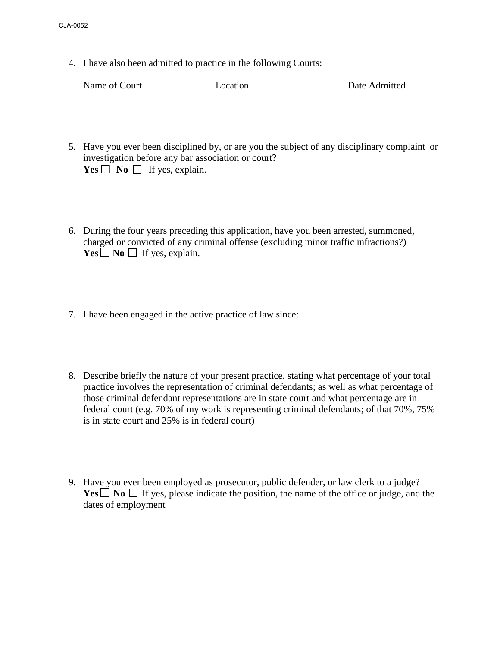4. I have also been admitted to practice in the following Courts:

Name of Court **Location Location Date Admitted** 

- 5. Have you ever been disciplined by, or are you the subject of any disciplinary complaint or investigation before any bar association or court?  $Yes \Box No \Box If yes, explain.$
- 6. During the four years preceding this application, have you been arrested, summoned, charged or convicted of any criminal offense (excluding minor traffic infractions?)  $Yes \Box No \Box$  If yes, explain.
- 7. I have been engaged in the active practice of law since:
- 8. Describe briefly the nature of your present practice, stating what percentage of your total practice involves the representation of criminal defendants; as well as what percentage of those criminal defendant representations are in state court and what percentage are in federal court (e.g. 70% of my work is representing criminal defendants; of that 70%, 75% is in state court and 25% is in federal court)
- 9. Have you ever been employed as prosecutor, public defender, or law clerk to a judge? **Yes**  $\Box$  **No**  $\Box$  If yes, please indicate the position, the name of the office or judge, and the dates of employment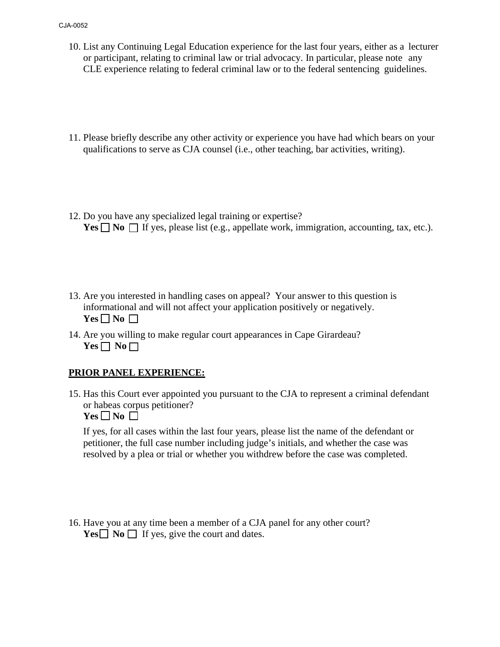- 10. List any Continuing Legal Education experience for the last four years, either as a lecturer or participant, relating to criminal law or trial advocacy. In particular, please note any CLE experience relating to federal criminal law or to the federal sentencing guidelines.
- 11. Please briefly describe any other activity or experience you have had which bears on your qualifications to serve as CJA counsel (i.e., other teaching, bar activities, writing).
- 12. Do you have any specialized legal training or expertise? **Yes**  $\Box$  **No**  $\Box$  If yes, please list (e.g., appellate work, immigration, accounting, tax, etc.).
- 13. Are you interested in handling cases on appeal? Your answer to this question is informational and will not affect your application positively or negatively.  $Yes \Box No \Box$
- 14. Are you willing to make regular court appearances in Cape Girardeau?  $Yes \Box No \Box$

#### **PRIOR PANEL EXPERIENCE:**

15. Has this Court ever appointed you pursuant to the CJA to represent a criminal defendant or habeas corpus petitioner?

 $Yes \Box No \Box$ 

If yes, for all cases within the last four years, please list the name of the defendant or petitioner, the full case number including judge's initials, and whether the case was resolved by a plea or trial or whether you withdrew before the case was completed.

16. Have you at any time been a member of a CJA panel for any other court? **Yes**  $\Box$  **No**  $\Box$  If yes, give the court and dates.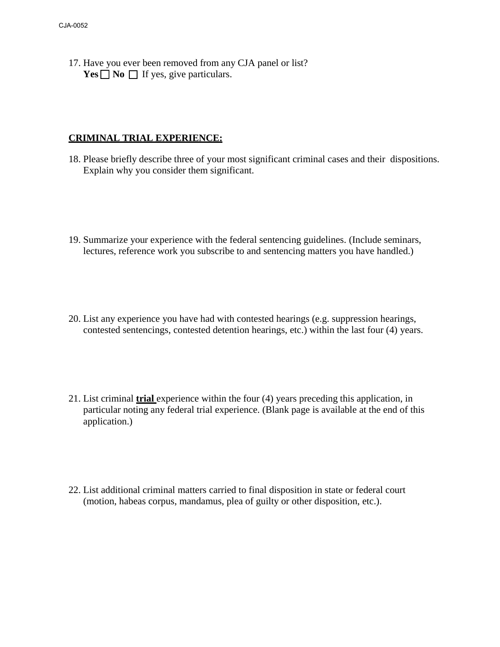17. Have you ever been removed from any CJA panel or list? **Yes**  $\Box$  **No**  $\Box$  If yes, give particulars.

#### **CRIMINAL TRIAL EXPERIENCE:**

- 18. Please briefly describe three of your most significant criminal cases and their dispositions. Explain why you consider them significant.
- 19. Summarize your experience with the federal sentencing guidelines. (Include seminars, lectures, reference work you subscribe to and sentencing matters you have handled.)
- 20. List any experience you have had with contested hearings (e.g. suppression hearings, contested sentencings, contested detention hearings, etc.) within the last four (4) years.
- 21. List criminal **trial** experience within the four (4) years preceding this application, in particular noting any federal trial experience. (Blank page is available at the end of this application.)
- 22. List additional criminal matters carried to final disposition in state or federal court (motion, habeas corpus, mandamus, plea of guilty or other disposition, etc.).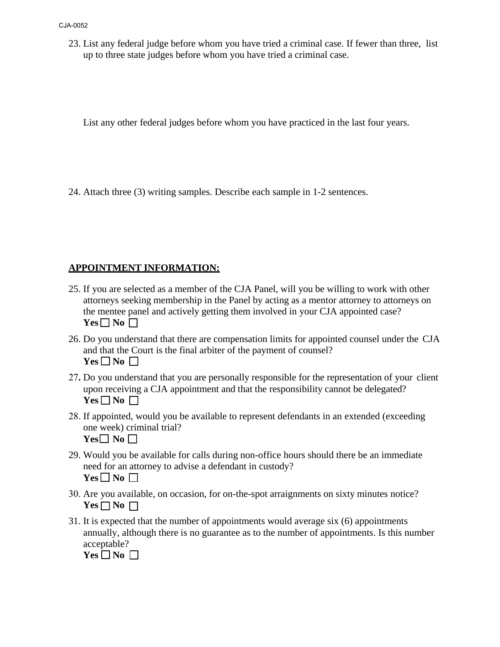23. List any federal judge before whom you have tried a criminal case. If fewer than three, list up to three state judges before whom you have tried a criminal case.

List any other federal judges before whom you have practiced in the last four years.

24. Attach three (3) writing samples. Describe each sample in 1-2 sentences.

#### **APPOINTMENT INFORMATION:**

- 25. If you are selected as a member of the CJA Panel, will you be willing to work with other attorneys seeking membership in the Panel by acting as a mentor attorney to attorneys on the mentee panel and actively getting them involved in your CJA appointed case?  $Yes \Box No \Box$
- 26. Do you understand that there are compensation limits for appointed counsel under the CJA and that the Court is the final arbiter of the payment of counsel?  $Yes \Box No \Box$
- 27**.** Do you understand that you are personally responsible for the representation of your client upon receiving a CJA appointment and that the responsibility cannot be delegated?  $Yes \Box No \Box$
- 28. If appointed, would you be available to represent defendants in an extended (exceeding one week) criminal trial?  $Yes \Box No \Box$
- 29. Would you be available for calls during non-office hours should there be an immediate need for an attorney to advise a defendant in custody?  $Yes \Box$  No  $\Box$
- 30. Are you available, on occasion, for on-the-spot arraignments on sixty minutes notice?  $Yes \Box No \Box$
- 31. It is expected that the number of appointments would average six (6) appointments annually, although there is no guarantee as to the number of appointments. Is this number acceptable?

 $Yes \Box No \Box$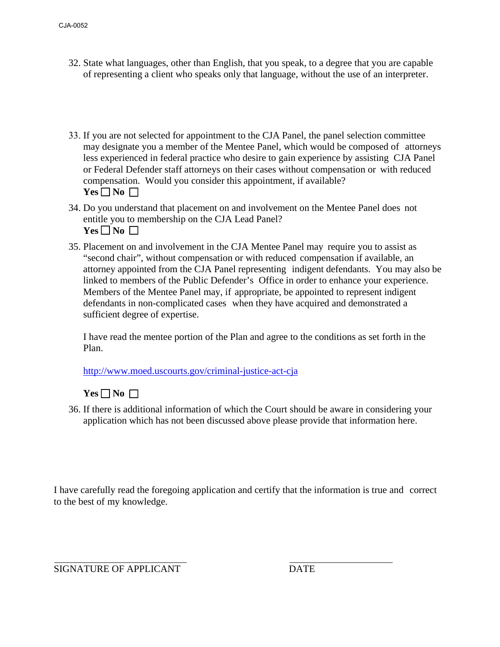- 32. State what languages, other than English, that you speak, to a degree that you are capable of representing a client who speaks only that language, without the use of an interpreter.
- 33. If you are not selected for appointment to the CJA Panel, the panel selection committee may designate you a member of the Mentee Panel, which would be composed of attorneys less experienced in federal practice who desire to gain experience by assisting CJA Panel or Federal Defender staff attorneys on their cases without compensation or with reduced compensation. Would you consider this appointment, if available?  $Yes \Box No \Box$
- 34. Do you understand that placement on and involvement on the Mentee Panel does not entitle you to membership on the CJA Lead Panel?  $Yes \Box No \Box$
- 35. Placement on and involvement in the CJA Mentee Panel may require you to assist as "second chair", without compensation or with reduced compensation if available, an attorney appointed from the CJA Panel representing indigent defendants. You may also be linked to members of the Public Defender's Office in order to enhance your experience. Members of the Mentee Panel may, if appropriate, be appointed to represent indigent defendants in non-complicated cases when they have acquired and demonstrated a sufficient degree of expertise.

I have read the mentee portion of the Plan and agree to the conditions as set forth in the Plan.

<http://www.moed.uscourts.gov/criminal-justice-act-cja>

 $Yes \Box No \Box$ 

36. If there is additional information of which the Court should be aware in considering your application which has not been discussed above please provide that information here.

I have carefully read the foregoing application and certify that the information is true and correct to the best of my knowledge.

SIGNATURE OF APPLICANT DATE